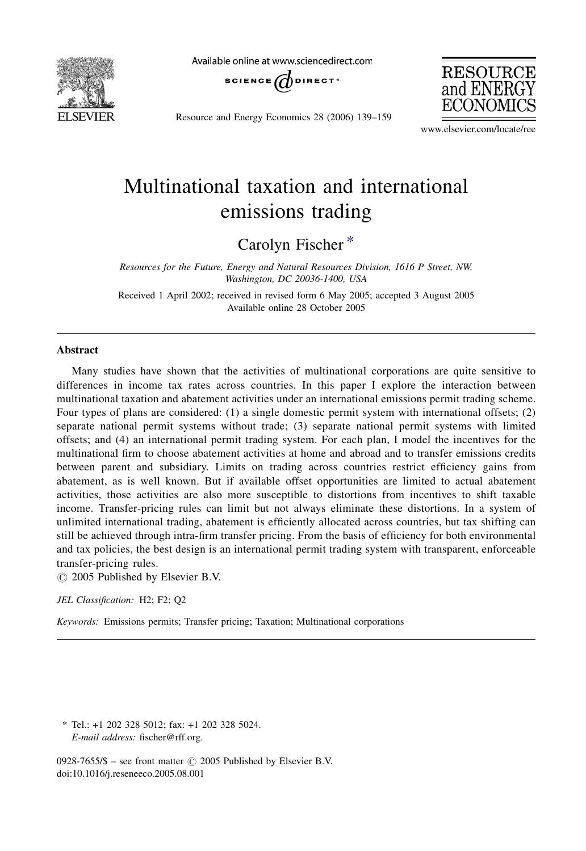

Available online at www.sciencedirect.com



Resource and Energy Economics 28 (2006) 139–159



www.elsevier.com/locate/ree

## Multinational taxation and international emissions trading

Carolyn Fischer \*

Resources for the Future, Energy and Natural Resources Division, 1616 P Street, NW, Washington, DC 20036-1400, USA

Received 1 April 2002; received in revised form 6 May 2005; accepted 3 August 2005 Available online 28 October 2005

## Abstract

Many studies have shown that the activities of multinational corporations are quite sensitive to differences in income tax rates across countries. In this paper I explore the interaction between multinational taxation and abatement activities under an international emissions permit trading scheme. Four types of plans are considered: (1) a single domestic permit system with international offsets; (2) separate national permit systems without trade; (3) separate national permit systems with limited offsets; and (4) an international permit trading system. For each plan, I model the incentives for the multinational firm to choose abatement activities at home and abroad and to transfer emissions credits between parent and subsidiary. Limits on trading across countries restrict efficiency gains from abatement, as is well known. But if available offset opportunities are limited to actual abatement activities, those activities are also more susceptible to distortions from incentives to shift taxable income. Transfer-pricing rules can limit but not always eliminate these distortions. In a system of unlimited international trading, abatement is efficiently allocated across countries, but tax shifting can still be achieved through intra-firm transfer pricing. From the basis of efficiency for both environmental and tax policies, the best design is an international permit trading system with transparent, enforceable transfer-pricing rules.

 $\circ$  2005 Published by Elsevier B.V.

JEL Classification: H2; F2; Q2

Keywords: Emissions permits; Transfer pricing; Taxation; Multinational corporations

\* Tel.: +1 202 328 5012; fax: +1 202 328 5024. E-mail address: fischer@rff.org.

0928-7655/\$ – see front matter  $\odot$  2005 Published by Elsevier B.V. doi:10.1016/j.reseneeco.2005.08.001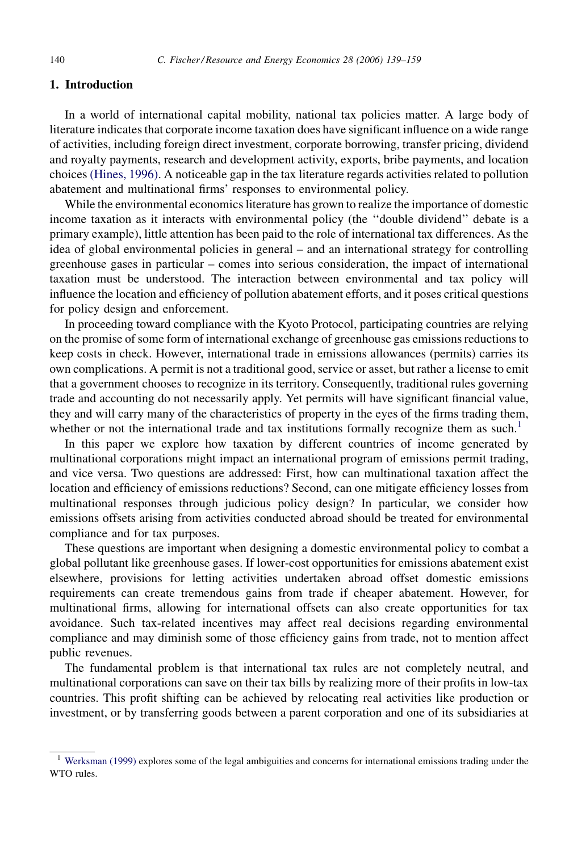## 1. Introduction

In a world of international capital mobility, national tax policies matter. A large body of literature indicates that corporate income taxation does have significant influence on a wide range of activities, including foreign direct investment, corporate borrowing, transfer pricing, dividend and royalty payments, research and development activity, exports, bribe payments, and location choices [\(Hines, 1996\)](#page--1-0). A noticeable gap in the tax literature regards activities related to pollution abatement and multinational firms' responses to environmental policy.

While the environmental economics literature has grown to realize the importance of domestic income taxation as it interacts with environmental policy (the ''double dividend'' debate is a primary example), little attention has been paid to the role of international tax differences. As the idea of global environmental policies in general – and an international strategy for controlling greenhouse gases in particular – comes into serious consideration, the impact of international taxation must be understood. The interaction between environmental and tax policy will influence the location and efficiency of pollution abatement efforts, and it poses critical questions for policy design and enforcement.

In proceeding toward compliance with the Kyoto Protocol, participating countries are relying on the promise of some form of international exchange of greenhouse gas emissions reductions to keep costs in check. However, international trade in emissions allowances (permits) carries its own complications. A permit is not a traditional good, service or asset, but rather a license to emit that a government chooses to recognize in its territory. Consequently, traditional rules governing trade and accounting do not necessarily apply. Yet permits will have significant financial value, they and will carry many of the characteristics of property in the eyes of the firms trading them, whether or not the international trade and tax institutions formally recognize them as such.<sup>1</sup>

In this paper we explore how taxation by different countries of income generated by multinational corporations might impact an international program of emissions permit trading, and vice versa. Two questions are addressed: First, how can multinational taxation affect the location and efficiency of emissions reductions? Second, can one mitigate efficiency losses from multinational responses through judicious policy design? In particular, we consider how emissions offsets arising from activities conducted abroad should be treated for environmental compliance and for tax purposes.

These questions are important when designing a domestic environmental policy to combat a global pollutant like greenhouse gases. If lower-cost opportunities for emissions abatement exist elsewhere, provisions for letting activities undertaken abroad offset domestic emissions requirements can create tremendous gains from trade if cheaper abatement. However, for multinational firms, allowing for international offsets can also create opportunities for tax avoidance. Such tax-related incentives may affect real decisions regarding environmental compliance and may diminish some of those efficiency gains from trade, not to mention affect public revenues.

The fundamental problem is that international tax rules are not completely neutral, and multinational corporations can save on their tax bills by realizing more of their profits in low-tax countries. This profit shifting can be achieved by relocating real activities like production or investment, or by transferring goods between a parent corporation and one of its subsidiaries at

<sup>&</sup>lt;sup>1</sup> [Werksman \(1999\)](#page--1-0) explores some of the legal ambiguities and concerns for international emissions trading under the WTO rules.